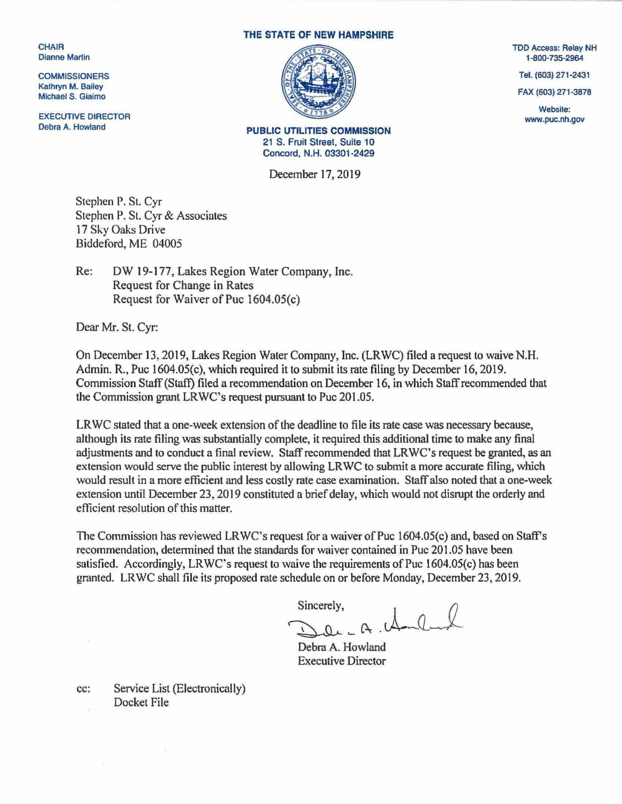CHAIR Dianne Martin

**COMMISSIONERS** Kathryn M. Bailey Michael S. Giaimo

EXECUTIVE DIRECTOR Debra A. Howland

## THE STATE OF NEW HAMPSHIRE



PUBLIC UTILITIES COMMISSION 21 S. Fruit Street, Suite 10 Concord, N.H. 03301-2429

December 17, 2019

Stephen P. St. Cyr Stephen P. St. Cyr & Associates 17 Sky Oaks Drive Biddeford, ME 04005

Re: OW 19-177, Lakes Region Water Company, Inc. Request for Change in Rates Request for Waiver of Puc 1604.0S(c)

Dear Mr. St. Cyr:

On December *13:* 2019, Lakes Region Water Company, Inc. (LRWC) filed a request to waive N.H. Admin. R., Puc 1604.0S(c), which required it to submit its rate filing by December 16, 2019. Commission Staff (Staff) filed a recommendation on December 16, in which Staff recommended that the Commission grant LRWC's request pursuant to Puc 201.05.

LRWC stated that a one-week extension of the deadline to file its rate case was necessary because, although its rate filing was substantially complete, it required this additional time to make any final adjustments and to conduct a final review. Staff recommended that LRWC's request be granted, as an extension would serve the public interest by allowing LRWC to submit a more accurate filing, which would result in a more efficient and less costly rate case examination. Staff also noted that a one-week extension until December 23, 2019 constituted a brief delay, which would not disrupt the orderly and efficient resolution of this matter.

The Commission has reviewed LRWC's request for a waiver of Puc 1604.0S(c) and, based on Staff's recommendation, determined that the standards for waiver contained in Puc 201.05 have been satisfied. Accordingly, LRWC's request to waive the requirements of Puc 1604.0S(c) has been granted. LRWC shall file its proposed rate schedule on or before Monday, December 23, 2019.

 $Sineerely, \nQQ. - A. \nQ. \nQ.$ 

Debra A. Howland Executive Director

cc: Service List (Electronically) Docket File

 $\tau_{\rm A}$ 

TDD Access: Relay NH 1-800-735-2964

Tel. (603) 271-2431

FAX (603) 271-3878

Website: www.puc.nh.gov